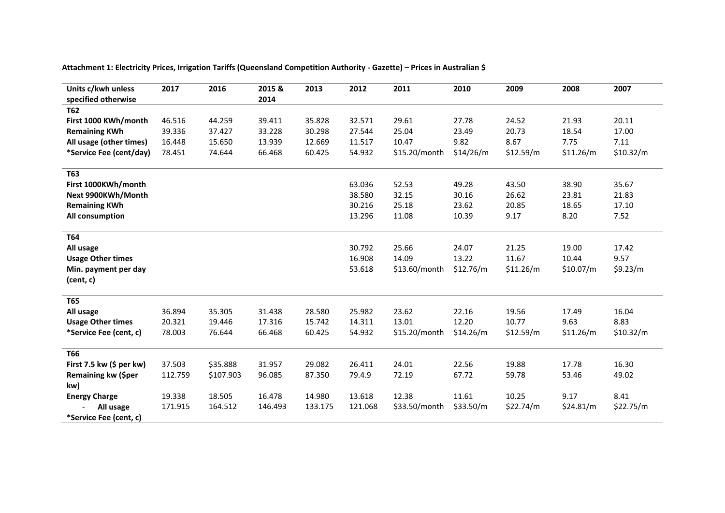**Attachment 1: Electricity Prices, Irrigation Tariffs (Queensland Competition Authority - Gazette) – Prices in Australian \$**

| Units c/kwh unless<br>specified otherwise | 2017    | 2016      | 2015 &<br>2014 | 2013    | 2012    | 2011          | 2010      | 2009      | 2008      | 2007      |
|-------------------------------------------|---------|-----------|----------------|---------|---------|---------------|-----------|-----------|-----------|-----------|
| <b>T62</b>                                |         |           |                |         |         |               |           |           |           |           |
| First 1000 KWh/month                      | 46.516  | 44.259    | 39.411         | 35.828  | 32.571  | 29.61         | 27.78     | 24.52     | 21.93     | 20.11     |
| <b>Remaining KWh</b>                      | 39.336  | 37.427    | 33.228         | 30.298  | 27.544  | 25.04         | 23.49     | 20.73     | 18.54     | 17.00     |
| All usage (other times)                   | 16.448  | 15.650    | 13.939         | 12.669  | 11.517  | 10.47         | 9.82      | 8.67      | 7.75      | 7.11      |
| *Service Fee (cent/day)                   | 78.451  | 74.644    | 66.468         | 60.425  | 54.932  | \$15.20/month | \$14/26/m | \$12.59/m | \$11.26/m | \$10.32/m |
| T63                                       |         |           |                |         |         |               |           |           |           |           |
| First 1000KWh/month                       |         |           |                |         | 63.036  | 52.53         | 49.28     | 43.50     | 38.90     | 35.67     |
| Next 9900KWh/Month                        |         |           |                |         | 38.580  | 32.15         | 30.16     | 26.62     | 23.81     | 21.83     |
| <b>Remaining KWh</b>                      |         |           |                |         | 30.216  | 25.18         | 23.62     | 20.85     | 18.65     | 17.10     |
| All consumption                           |         |           |                |         | 13.296  | 11.08         | 10.39     | 9.17      | 8.20      | 7.52      |
| T64                                       |         |           |                |         |         |               |           |           |           |           |
| All usage                                 |         |           |                |         | 30.792  | 25.66         | 24.07     | 21.25     | 19.00     | 17.42     |
| <b>Usage Other times</b>                  |         |           |                |         | 16.908  | 14.09         | 13.22     | 11.67     | 10.44     | 9.57      |
| Min. payment per day<br>(cent, c)         |         |           |                |         | 53.618  | \$13.60/month | \$12.76/m | \$11.26/m | \$10.07/m | \$9.23/m  |
| <b>T65</b>                                |         |           |                |         |         |               |           |           |           |           |
| All usage                                 | 36.894  | 35.305    | 31.438         | 28.580  | 25.982  | 23.62         | 22.16     | 19.56     | 17.49     | 16.04     |
| <b>Usage Other times</b>                  | 20.321  | 19.446    | 17.316         | 15.742  | 14.311  | 13.01         | 12.20     | 10.77     | 9.63      | 8.83      |
| *Service Fee (cent, c)                    | 78.003  | 76.644    | 66.468         | 60.425  | 54.932  | \$15.20/month | \$14.26/m | \$12.59/m | \$11.26/m | \$10.32/m |
| <b>T66</b>                                |         |           |                |         |         |               |           |           |           |           |
| First 7.5 kw $(5$ per kw)                 | 37.503  | \$35.888  | 31.957         | 29.082  | 26.411  | 24.01         | 22.56     | 19.88     | 17.78     | 16.30     |
| Remaining kw (\$per                       | 112.759 | \$107.903 | 96.085         | 87.350  | 79.4.9  | 72.19         | 67.72     | 59.78     | 53.46     | 49.02     |
| kw)                                       |         |           |                |         |         |               |           |           |           |           |
| <b>Energy Charge</b>                      | 19.338  | 18.505    | 16.478         | 14.980  | 13.618  | 12.38         | 11.61     | 10.25     | 9.17      | 8.41      |
| All usage                                 | 171.915 | 164.512   | 146.493        | 133.175 | 121.068 | \$33.50/month | \$33.50/m | \$22.74/m | \$24.81/m | \$22.75/m |
| *Service Fee (cent, c)                    |         |           |                |         |         |               |           |           |           |           |